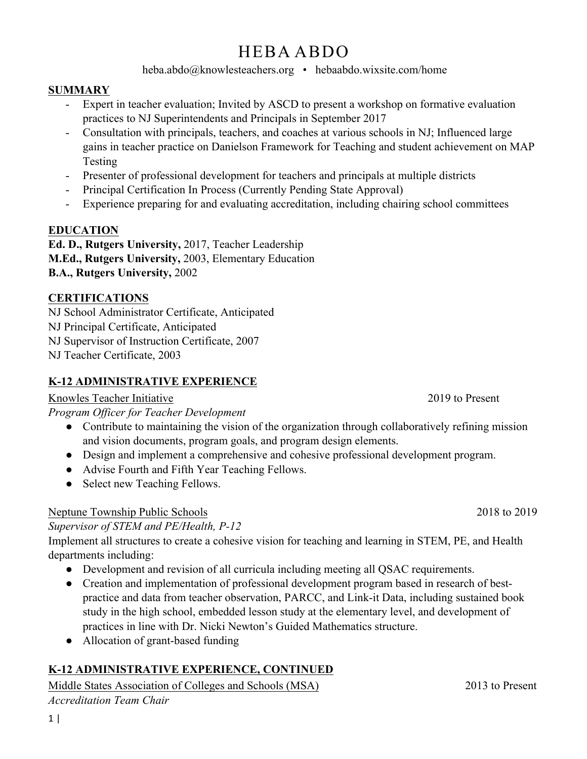# HEBA ABDO

heba.abdo@knowlesteachers.org • hebaabdo.wixsite.com/home

#### **SUMMARY**

- Expert in teacher evaluation; Invited by ASCD to present a workshop on formative evaluation practices to NJ Superintendents and Principals in September 2017
- Consultation with principals, teachers, and coaches at various schools in NJ; Influenced large gains in teacher practice on Danielson Framework for Teaching and student achievement on MAP Testing
- Presenter of professional development for teachers and principals at multiple districts
- Principal Certification In Process (Currently Pending State Approval)
- Experience preparing for and evaluating accreditation, including chairing school committees

## **EDUCATION**

**Ed. D., Rutgers University,** 2017, Teacher Leadership **M.Ed., Rutgers University,** 2003, Elementary Education **B.A., Rutgers University,** 2002

#### **CERTIFICATIONS**

NJ School Administrator Certificate, Anticipated

NJ Principal Certificate, Anticipated

NJ Supervisor of Instruction Certificate, 2007

NJ Teacher Certificate, 2003

## **K-12 ADMINISTRATIVE EXPERIENCE**

## Knowles Teacher Initiative 2019 to Present

*Program Officer for Teacher Development* 

- Contribute to maintaining the vision of the organization through collaboratively refining mission and vision documents, program goals, and program design elements.
- Design and implement a comprehensive and cohesive professional development program.
- Advise Fourth and Fifth Year Teaching Fellows.
- Select new Teaching Fellows.

## Neptune Township Public Schools 2018 to 2019

*Supervisor of STEM and PE/Health, P-12* 

Implement all structures to create a cohesive vision for teaching and learning in STEM, PE, and Health departments including:

- Development and revision of all curricula including meeting all QSAC requirements.
- Creation and implementation of professional development program based in research of bestpractice and data from teacher observation, PARCC, and Link-it Data, including sustained book study in the high school, embedded lesson study at the elementary level, and development of practices in line with Dr. Nicki Newton's Guided Mathematics structure.
- Allocation of grant-based funding

# **K-12 ADMINISTRATIVE EXPERIENCE, CONTINUED**

Middle States Association of Colleges and Schools (MSA) 2013 to Present *Accreditation Team Chair*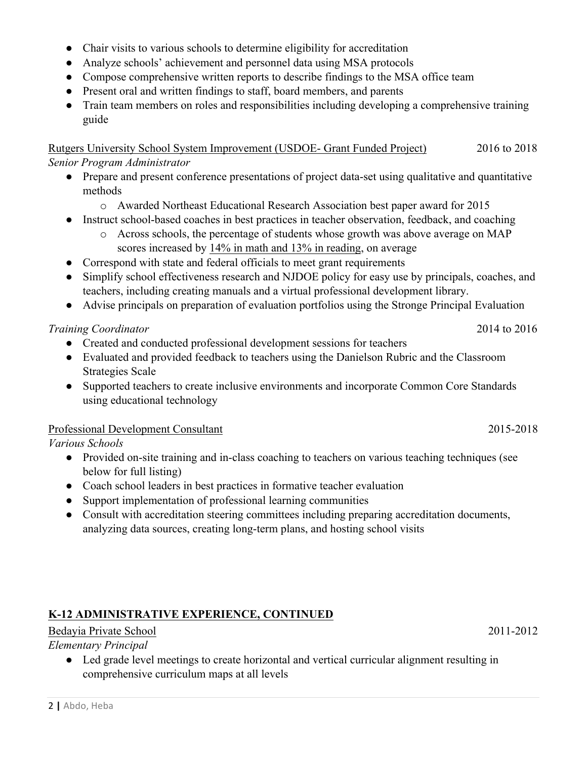- Chair visits to various schools to determine eligibility for accreditation
- Analyze schools' achievement and personnel data using MSA protocols
- Compose comprehensive written reports to describe findings to the MSA office team
- Present oral and written findings to staff, board members, and parents
- Train team members on roles and responsibilities including developing a comprehensive training guide

Rutgers University School System Improvement (USDOE- Grant Funded Project) 2016 to 2018 *Senior Program Administrator* 

- Prepare and present conference presentations of project data-set using qualitative and quantitative methods
	- o Awarded Northeast Educational Research Association best paper award for 2015
- Instruct school-based coaches in best practices in teacher observation, feedback, and coaching
	- o Across schools, the percentage of students whose growth was above average on MAP
		- scores increased by 14% in math and 13% in reading, on average
- Correspond with state and federal officials to meet grant requirements
- Simplify school effectiveness research and NJDOE policy for easy use by principals, coaches, and teachers, including creating manuals and a virtual professional development library.
- Advise principals on preparation of evaluation portfolios using the Stronge Principal Evaluation

#### *Training Coordinator* 2014 to 2016

- Created and conducted professional development sessions for teachers
- Evaluated and provided feedback to teachers using the Danielson Rubric and the Classroom Strategies Scale
- Supported teachers to create inclusive environments and incorporate Common Core Standards using educational technology

#### Professional Development Consultant 2015-2018

*Various Schools* 

- Provided on-site training and in-class coaching to teachers on various teaching techniques (see below for full listing)
- Coach school leaders in best practices in formative teacher evaluation
- Support implementation of professional learning communities
- Consult with accreditation steering committees including preparing accreditation documents, analyzing data sources, creating long-term plans, and hosting school visits

## **K-12 ADMINISTRATIVE EXPERIENCE, CONTINUED**

## Bedayia Private School 2011-2012

#### *Elementary Principal*

● Led grade level meetings to create horizontal and vertical curricular alignment resulting in comprehensive curriculum maps at all levels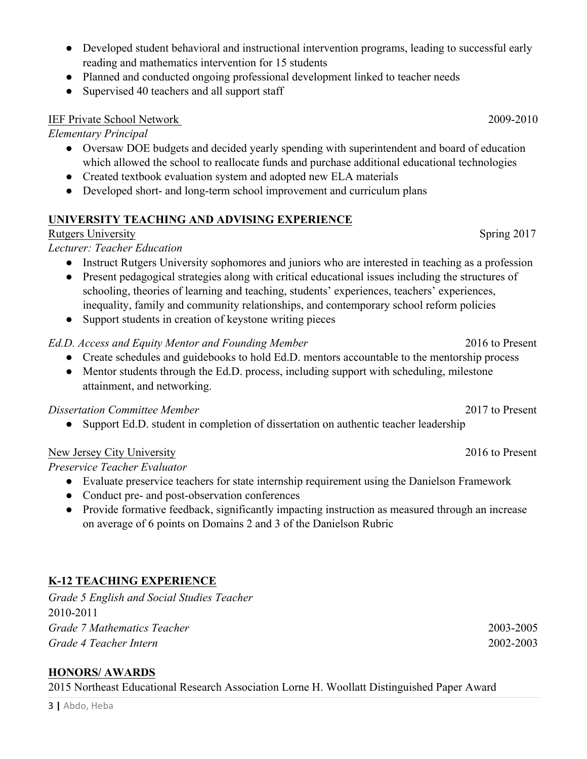- Developed student behavioral and instructional intervention programs, leading to successful early reading and mathematics intervention for 15 students
- Planned and conducted ongoing professional development linked to teacher needs
- Supervised 40 teachers and all support staff

#### IEF Private School Network 2009-2010

*Elementary Principal* 

- Oversaw DOE budgets and decided yearly spending with superintendent and board of education which allowed the school to reallocate funds and purchase additional educational technologies
- Created textbook evaluation system and adopted new ELA materials
- Developed short- and long-term school improvement and curriculum plans

## **UNIVERSITY TEACHING AND ADVISING EXPERIENCE**

#### Rutgers University Spring 2017

## *Lecturer: Teacher Education*

- Instruct Rutgers University sophomores and juniors who are interested in teaching as a profession
- Present pedagogical strategies along with critical educational issues including the structures of schooling, theories of learning and teaching, students' experiences, teachers' experiences, inequality, family and community relationships, and contemporary school reform policies
- Support students in creation of keystone writing pieces

#### *Ed.D. Access and Equity Mentor and Founding Member* 2016 to Present

- Create schedules and guidebooks to hold Ed.D. mentors accountable to the mentorship process
- Mentor students through the Ed.D. process, including support with scheduling, milestone attainment, and networking.

#### *Dissertation Committee Member* 2017 to Present

• Support Ed.D. student in completion of dissertation on authentic teacher leadership

#### New Jersey City University 2016 to Present

*Preservice Teacher Evaluator* 

- Evaluate preservice teachers for state internship requirement using the Danielson Framework
- Conduct pre- and post-observation conferences
- Provide formative feedback, significantly impacting instruction as measured through an increase on average of 6 points on Domains 2 and 3 of the Danielson Rubric

# **K-12 TEACHING EXPERIENCE**

*Grade 5 English and Social Studies Teacher* 2010-2011 *Grade 7 Mathematics Teacher* 2003-2005 *Grade 4 Teacher Intern* 2002-2003

## **HONORS/ AWARDS**

2015 Northeast Educational Research Association Lorne H. Woollatt Distinguished Paper Award

3 **|** Abdo, Heba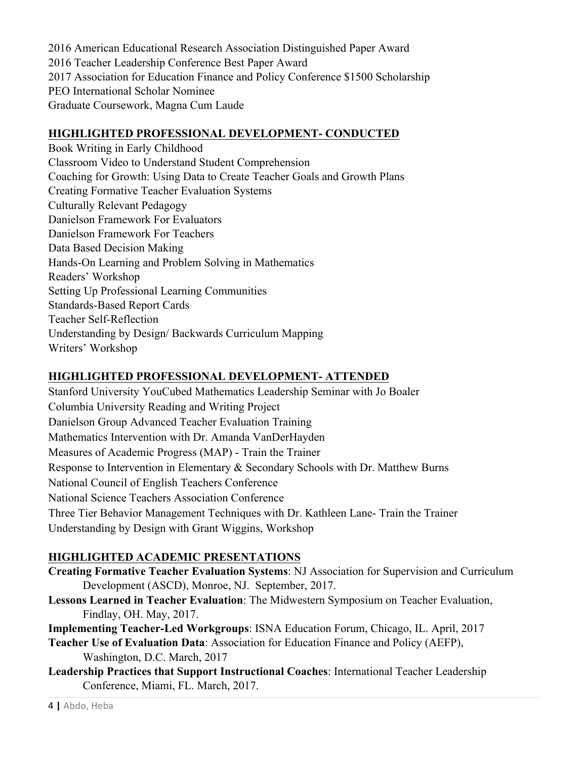2016 American Educational Research Association Distinguished Paper Award 2016 Teacher Leadership Conference Best Paper Award 2017 Association for Education Finance and Policy Conference \$1500 Scholarship PEO International Scholar Nominee Graduate Coursework, Magna Cum Laude

#### **HIGHLIGHTED PROFESSIONAL DEVELOPMENT- CONDUCTED**

Book Writing in Early Childhood Classroom Video to Understand Student Comprehension Coaching for Growth: Using Data to Create Teacher Goals and Growth Plans Creating Formative Teacher Evaluation Systems Culturally Relevant Pedagogy Danielson Framework For Evaluators Danielson Framework For Teachers Data Based Decision Making Hands-On Learning and Problem Solving in Mathematics Readers' Workshop Setting Up Professional Learning Communities Standards-Based Report Cards Teacher Self-Reflection Understanding by Design/ Backwards Curriculum Mapping Writers' Workshop

### **HIGHLIGHTED PROFESSIONAL DEVELOPMENT- ATTENDED**

Stanford University YouCubed Mathematics Leadership Seminar with Jo Boaler Columbia University Reading and Writing Project Danielson Group Advanced Teacher Evaluation Training Mathematics Intervention with Dr. Amanda VanDerHayden Measures of Academic Progress (MAP) - Train the Trainer Response to Intervention in Elementary & Secondary Schools with Dr. Matthew Burns National Council of English Teachers Conference National Science Teachers Association Conference Three Tier Behavior Management Techniques with Dr. Kathleen Lane- Train the Trainer Understanding by Design with Grant Wiggins, Workshop

## **HIGHLIGHTED ACADEMIC PRESENTATIONS**

**Creating Formative Teacher Evaluation Systems**: NJ Association for Supervision and Curriculum Development (ASCD), Monroe, NJ. September, 2017.

**Lessons Learned in Teacher Evaluation**: The Midwestern Symposium on Teacher Evaluation, Findlay, OH. May, 2017.

**Implementing Teacher-Led Workgroups**: ISNA Education Forum, Chicago, IL. April, 2017

**Teacher Use of Evaluation Data**: Association for Education Finance and Policy (AEFP), Washington, D.C. March, 2017

**Leadership Practices that Support Instructional Coaches**: International Teacher Leadership Conference, Miami, FL. March, 2017.